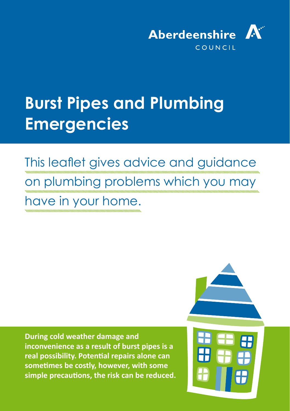

# **Burst Pipes and Plumbing Emergencies**

## This leaflet gives advice and guidance on plumbing problems which you may have in your home.

**During cold weather damage and inconvenience as a result of burst pipes is a real possibility. Potential repairs alone can sometimes be costly, however, with some simple precautions, the risk can be reduced.** 

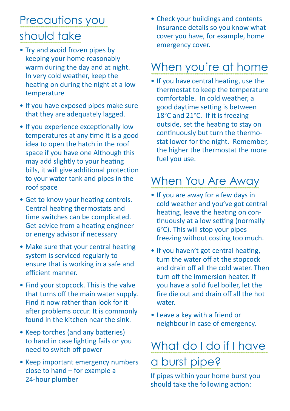### Precautions you should take

- Try and avoid frozen pipes by keeping your home reasonably warm during the day and at night. In very cold weather, keep the heating on during the night at a low temperature
- If you have exposed pipes make sure that they are adequately lagged.
- If you experience exceptionally low temperatures at any time it is a good idea to open the hatch in the roof space if you have one Although this may add slightly to your heating bills, it will give additional protection to your water tank and pipes in the roof space
- Get to know your heating controls. Central heating thermostats and time switches can be complicated. Get advice from a heating engineer or energy advisor if necessary
- Make sure that your central heating system is serviced regularly to ensure that is working in a safe and efficient manner.
- Find your stopcock. This is the valve that turns off the main water supply. Find it now rather than look for it after problems occur. It is commonly found in the kitchen near the sink.
- Keep torches (and any batteries) to hand in case lighting fails or you need to switch off power
- Keep important emergency numbers close to hand – for example a 24-hour plumber

• Check your buildings and contents insurance details so you know what cover you have, for example, home emergency cover.

### When you're at home

• If you have central heating, use the thermostat to keep the temperature comfortable. In cold weather, a good daytime setting is between 18°C and 21°C. If it is freezing outside, set the heating to stay on continuously but turn the thermostat lower for the night. Remember, the higher the thermostat the more fuel you use.

### When You Are Away

- If you are away for a few days in cold weather and you've got central heating, leave the heating on continuously at a low setting (normally 6°C). This will stop your pipes freezing without costing too much.
- If you haven't got central heating, turn the water off at the stopcock and drain off all the cold water. Then turn off the immersion heater. If you have a solid fuel boiler, let the fire die out and drain off all the hot water.
- Leave a key with a friend or neighbour in case of emergency.

### What do I do if I have a burst pipe?

If pipes within your home burst you should take the following action: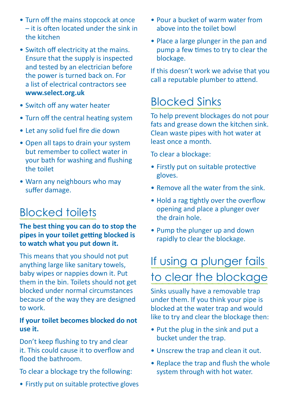- Turn off the mains stopcock at once – it is often located under the sink in the kitchen
- Switch off electricity at the mains. Ensure that the supply is inspected and tested by an electrician before the power is turned back on. For a list of electrical contractors see **[www.select.org.uk](http://www.select.org.uk)**
- Switch off any water heater
- Turn off the central heating system
- Let any solid fuel fire die down
- Open all taps to drain your system but remember to collect water in your bath for washing and flushing the toilet
- Warn any neighbours who may suffer damage.

### Blocked toilets

**The best thing you can do to stop the pipes in your toilet getting blocked is to watch what you put down it.**

This means that you should not put anything large like sanitary towels, baby wipes or nappies down it. Put them in the bin. Toilets should not get blocked under normal circumstances because of the way they are designed to work.

#### **If your toilet becomes blocked do not use it.**

Don't keep flushing to try and clear it. This could cause it to overflow and flood the bathroom.

To clear a blockage try the following:

• Firstly put on suitable protective gloves

- Pour a bucket of warm water from above into the toilet bowl
- Place a large plunger in the pan and pump a few times to try to clear the blockage.

If this doesn't work we advise that you call a reputable plumber to attend.

### Blocked Sinks

To help prevent blockages do not pour fats and grease down the kitchen sink. Clean waste pipes with hot water at least once a month.

To clear a blockage:

- Firstly put on suitable protective gloves.
- Remove all the water from the sink.
- Hold a rag tightly over the overflow opening and place a plunger over the drain hole.
- Pump the plunger up and down rapidly to clear the blockage.

## If using a plunger fails to clear the blockage

Sinks usually have a removable trap under them. If you think your pipe is blocked at the water trap and would like to try and clear the blockage then:

- Put the plug in the sink and put a bucket under the trap.
- Unscrew the trap and clean it out.
- Replace the trap and flush the whole system through with hot water.